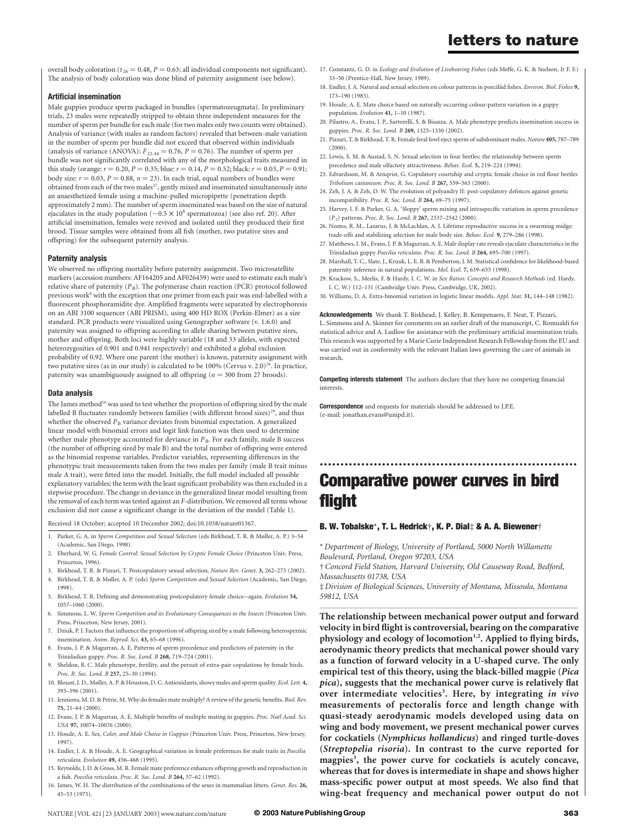# letters to nature

overall body coloration ( $t_{.26} = 0.48$ ,  $P = 0.63$ ; all individual components not significant). The analysis of body coloration was done blind of paternity assignment (see below).

### Artificial insemination

Male guppies produce sperm packaged in bundles (spermatozeugmata). In preliminary trials, 23 males were repeatedly stripped to obtain three independent measures for the number of sperm per bundle for each male (for two males only two counts were obtained). Analysis of variance (with males as random factors) revealed that between-male variation in the number of sperm per bundle did not exceed that observed within individuals (analysis of variance (ANOVA):  $F_{22.44} = 0.76$ ,  $P = 0.76$ ). The number of sperm per bundle was not significantly correlated with any of the morphological traits measured in this study (orange:  $r = 0.20$ ,  $P = 0.35$ ; blue:  $r = 0.14$ ,  $P = 0.52$ ; black:  $r = 0.03$ ,  $P = 0.91$ ; body size:  $r = 0.03$ ,  $P = 0.88$ ,  $n = 23$ ). In each trial, equal numbers of bundles were obtained from each of the two males<sup>27</sup>, gently mixed and inseminated simultaneously into an anaesthetized female using a machine-pulled micropipette (penetration depth approximately 2 mm). The number of sperm inseminated was based on the size of natural ejaculates in the study population ( $\sim 0.5 \times 10^6$  spermatozoa) (see also ref. 20). After artificial insemination, females were revived and isolated until they produced their first brood. Tissue samples were obtained from all fish (mother, two putative sires and offspring) for the subsequent paternity analysis.

#### Paternity analysis

We observed no offspring mortality before paternity assignment. Two microsatellite markers (accession numbers: AF164205 and AF026459) were used to estimate each male's relative share of paternity  $(P_B)$ . The polymerase chain reaction (PCR) protocol followed previous work<sup>8</sup> with the exception that one primer from each pair was end-labelled with a fluorescent phosphoramidite dye. Amplified fragments were separated by electrophoresis on an ABI 3100 sequencer (ABI PRISM), using 400 HD ROX (Perkin-Elmer) as a size standard. PCR products were visualized using Genographer software (v. 1.6.0) and paternity was assigned to offspring according to allele sharing between putative sires, mother and offspring. Both loci were highly variable (18 and 33 alleles, with expected heterozygosities of 0.901 and 0.941 respectively) and exhibited a global exclusion probability of 0.92. Where one parent (the mother) is known, paternity assignment with two putative sires (as in our study) is calculated to be 100% (Cervus v. 2.0)<sup>28</sup>. In practice, paternity was unambiguously assigned to all offspring ( $n = 300$  from 27 broods).

#### Data analysis

The James method<sup>16</sup> was used to test whether the proportion of offspring sired by the male labelled B fluctuates randomly between families (with different brood sizes)<sup>29</sup>, and thus whether the observed  $P_B$  variance deviates from binomial expectation. A generalized linear model with binomial errors and logit link function was then used to determine whether male phenotype accounted for deviance in  $P_B$ . For each family, male B success (the number of offspring sired by male B) and the total number of offspring were entered as the binomial response variables. Predictor variables, representing differences in the phenotypic trait measurements taken from the two males per family (male B trait minus male A trait), were fitted into the model. Initially, the full model included all possible explanatory variables; the term with the least significant probability was then excluded in a stepwise procedure. The change in deviance in the generalized linear model resulting from the removal of each term was tested against an F-distribution. We removed all terms whose exclusion did not cause a significant change in the deviation of the model (Table 1).

Received 18 October; accepted 10 December 2002; doi:10.1038/nature01367.

- 1. Parker, G. A. in Sperm Competition and Sexual Selection (eds Birkhead, T. R. & Møller, A. P.) 3–54 (Academic, San Diego, 1998).
- 2. Eberhard, W. G. Female Control: Sexual Selection by Cryptic Female Choice (Princeton Univ. Press, Princeton, 1996).
- 3. Birkhead, T. R. & Pizzari, T. Postcopulatory sexual selection. Nature Rev. Genet. 3, 262–273 (2002). 4. Birkhead, T. R. & Møller, A. P. (eds) Sperm Competition and Sexual Selection (Academic, San Diego,
- 1998).
- 5. Birkhead, T. R. Defining and demonstrating postcopulatory female choice—again. Evolution 54, 1057–1060 (2000).
- 6. Simmons, L. W. Sperm Competition and its Evolutionary Consequences in the Insects (Princeton Univ. Press, Princeton, New Jersey, 2001).
- 7. Dziuk, P. J. Factors that influence the proportion of offspring sired by a male following heterospermic insemination. Anim. Reprod. Sci. 43, 65–68 (1996).
- 8. Evans, J. P. & Magurran, A. E. Patterns of sperm precedence and predictors of paternity in the Trinidadian guppy. Proc. R. Soc. Lond. B 268, 719–724 (2001).
- 9. Sheldon, B. C. Male phenotype, fertility, and the persuit of extra-pair copulations by female birds. Proc. R. Soc. Lond. B 257, 25–30 (1994).
- 10. Blount, J. D., Møller, A. P. & Houston, D. C. Antioxidants, showy males and sperm quality. Ecol. Lett. 4, 393–396 (2001).
- 11. Jennions, M. D. & Petrie, M. Why do females mate multiply? A review of the genetic benefits. Biol. Rev. 75, 21–64 (2000).
- 12. Evans, J. P. & Magurran, A. E. Multiple benefits of multiple mating in guppies. Proc. Natl Acad. Sci. USA 97, 10074–10076 (2000).
- 13. Houde, A. E. Sex, Color, and Male Choice in Guppies (Princeton Univ. Press, Princeton, New Jersey, 1997).
- 14. Endler, J. A. & Houde, A. E. Geographical variation in female preferences for male traits in Poecilia reticulata. Evolution 49, 456–468 (1995).
- 15. Reynolds, J. D. & Gross, M. R. Female mate preference enhances offspring growth and reproduction in a fish. Poecilia reticulata. Proc. R. Soc. Lond. B 264, 57–62 (1992).
- 16. James, W. H. The distribution of the combinations of the sexes in mammalian litters. Genet. Res. 26, 45–53 (1975).
- 17. Constantz, G. D. in Ecology and Evolution of Livebearing Fishes (eds Meffe, G. K. & Snelson, Jr F. F.) 33–50 (Prentice-Hall, New Jersey, 1989).
- 18. Endler, J. A. Natural and sexual selection on colour patterns in poeciliid fishes. Environ. Biol. Fishes 9, 173–190 (1983).
- 19. Houde, A. E. Mate choice based on naturally occurring colour-pattern variation in a guppy population. Evolution 41, 1–10 (1987).
- 20. Pilastro, A., Evans, J. P., Sartorelli, S. & Bisazza, A. Male phenotype predicts insemination success in guppies. Proc. R. Soc. Lond. B 269, 1325–1330 (2002).
- 21. Pizzari, T. & Birkhead, T. R. Female feral fowl eject sperm of subdominant males. Nature 405, 787–789 (2000).
- 22. Lewis, S. M. & Austad, S. N. Sexual selection in four beetles: the relationship between sperm precedence and male olfactory attractiveness. Behav. Ecol. 5, 219–224 (1994).
- 23. Edvardsson, M. & Arnqvist, G. Copulatory courtship and cryptic female choice in red flour beetles Tribolium castaneum. Proc. R. Soc. Lond. B 267, 559–563 (2000).
- 24. Zeh, J. A. & Zeh, D. W. The evolution of polyandry II: post-copulatory defences against genetic incompatibility. Proc. R. Soc. Lond. B 264, 69–75 (1997).
- 25. Harvey, I. F. & Parker, G. A. 'Sloppy' sperm mixing and intraspecific variation in sperm precedence (P2) patterns. Proc. R. Soc. Lond. B 267, 2537–2542 (2000).
- 26. Neems, R. M., Lazarus, J. & McLachlan, A. J. Lifetime reproductive success in a swarming midge: trade-offs and stabilizing selection for male body size. Behav. Ecol. 9, 279–286 (1998).
- 27. Matthews, I. M., Evans, J. P. & Magurran, A. E. Male display rate reveals ejaculate characteristics in the Trinidadian guppy Poecilia reticulata. Proc. R. Soc. Lond. B 264, 695–700 (1997).
- 28. Marshall, T. C., Slate, J., Kruuk, L. E. B. & Pemberton, J. M. Statistical confidence for likelihood-based paternity inference in natural populations. Mol. Ecol. 7, 639–655 (1998).
- 29. Krackow, S., Meelis, F. & Hardy, I. C. W. in Sex Ratios: Concepts and Research Methods (ed. Hardy, I. C. W.) 112–131 (Cambridge Univ. Press, Cambridge, UK, 2002).
- 30. Williams, D. A. Extra-binomial variation in logistic linear models. Appl. Stat. 31, 144–148 (1982).

Acknowledgements We thank T. Birkhead, J. Kelley, B. Kempenaers, F. Neat, T. Pizzari, L. Simmons and A. Skinner for comments on an earlier draft of the manuscript, C. Romualdi for statistical advice and A. Ludlow for assistance with the preliminary artificial insemination trials. This research was supported by a Marie Curie Independent Research Fellowship from the EU and was carried out in conformity with the relevant Italian laws governing the care of animals in research.

Competing interests statement The authors declare that they have no competing financial interests.

Correspondence and requests for materials should be addressed to J.P.E. (e-mail: jonathan.evans@unipd.it).

# .............................................................. Comparative power curves in bird flight

#### B. W. Tobalske\*, T. L. Hedrick†, K. P. Dial‡ & A. A. Biewener†

\* Department of Biology, University of Portland, 5000 North Willamette Boulevard, Portland, Oregon 97203, USA

† Concord Field Station, Harvard University, Old Causeway Road, Bedford, Massachusetts 01738, USA

‡ Division of Biological Sciences, University of Montana, Missoula, Montana 59812, USA .............................................................................................................................................................................

The relationship between mechanical power output and forward velocity in bird flight is controversial, bearing on the comparative physiology and ecology of locomotion<sup>1,2</sup>. Applied to flying birds, aerodynamic theory predicts that mechanical power should vary as a function of forward velocity in a U-shaped curve. The only empirical test of this theory, using the black-billed magpie (Pica pica), suggests that the mechanical power curve is relatively flat over intermediate velocities<sup>3</sup>. Here, by integrating in vivo measurements of pectoralis force and length change with quasi-steady aerodynamic models developed using data on wing and body movement, we present mechanical power curves for cockatiels (Nymphicus hollandicus) and ringed turtle-doves (Streptopelia risoria). In contrast to the curve reported for magpies<sup>3</sup>, the power curve for cockatiels is acutely concave, whereas that for doves is intermediate in shape and shows higher mass-specific power output at most speeds. We also find that wing-beat frequency and mechanical power output do not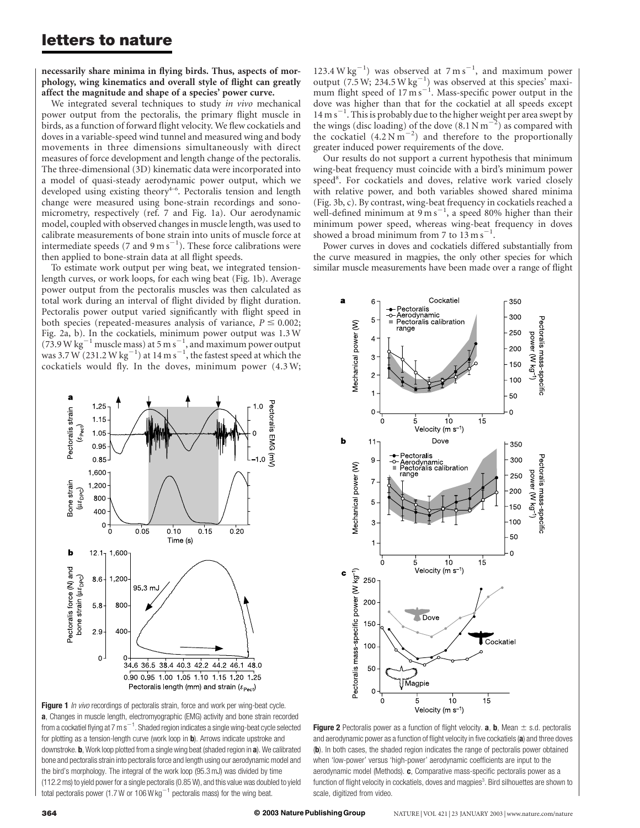# letters to nature

necessarily share minima in flying birds. Thus, aspects of morphology, wing kinematics and overall style of flight can greatly affect the magnitude and shape of a species' power curve.

We integrated several techniques to study in vivo mechanical power output from the pectoralis, the primary flight muscle in birds, as a function of forward flight velocity. We flew cockatiels and doves in a variable-speed wind tunnel and measured wing and body movements in three dimensions simultaneously with direct measures of force development and length change of the pectoralis. The three-dimensional (3D) kinematic data were incorporated into a model of quasi-steady aerodynamic power output, which we developed using existing theory<sup>4-6</sup>. Pectoralis tension and length change were measured using bone-strain recordings and sonomicrometry, respectively (ref. 7 and Fig. 1a). Our aerodynamic model, coupled with observed changes in muscle length, was used to calibrate measurements of bone strain into units of muscle force at intermediate speeds (7 and 9 m s $^{-1}$ ). These force calibrations were then applied to bone-strain data at all flight speeds.

To estimate work output per wing beat, we integrated tensionlength curves, or work loops, for each wing beat (Fig. 1b). Average power output from the pectoralis muscles was then calculated as total work during an interval of flight divided by flight duration. Pectoralis power output varied significantly with flight speed in both species (repeated-measures analysis of variance,  $P \le 0.002$ ; Fig. 2a, b). In the cockatiels, minimum power output was 1.3 W (73.9 W kg<sup>-1</sup> muscle mass) at 5 m s<sup>-1</sup>, and maximum power output was 3.7 W (231.2 W kg $^{-1})$  at 14 m s $^{-1}$ , the fastest speed at which the cockatiels would fly. In the doves, minimum power (4.3 W;



Figure 1 In vivo recordings of pectoralis strain, force and work per wing-beat cycle. a, Changes in muscle length, electromyographic (EMG) activity and bone strain recorded from a cockatiel flying at 7 m s $^{-1}$ . Shaded region indicates a single wing-beat cycle selected for plotting as a tension-length curve (work loop in **b**). Arrows indicate upstroke and downstroke. b, Work loop plotted from a single wing beat (shaded region in a). We calibrated bone and pectoralis strain into pectoralis force and length using our aerodynamic model and the bird's morphology. The integral of the work loop (95.3 mJ) was divided by time (112.2 ms) to yield power for a single pectoralis (0.85 W), and this value was doubled to yield total pectoralis power (1.7 W or 106 W kg<sup> $-1$ </sup> pectoralis mass) for the wing beat.

123.4 W  $\text{kg}^{-1}$ ) was observed at  $7 \text{ m s}^{-1}$ , and maximum power output (7.5 W; 234.5 W kg<sup>-1</sup>) was observed at this species<sup>2</sup> maxi-<br>mum flight speed of 17 m s<sup>-1</sup>. Mass-specific power output in the dove was higher than that for the cockatiel at all speeds except  $14 \text{ m s}^{-1}$ . This is probably due to the higher weight per area swept by the wings (disc loading) of the dove  $(8.1 \text{ N m}^{-2})$  as compared with the cockatiel  $(4.2 \text{ N m}^{-2})$  and therefore to the proportionally greater induced power requirements of the dove.

Our results do not support a current hypothesis that minimum wing-beat frequency must coincide with a bird's minimum power speed<sup>8</sup>. For cockatiels and doves, relative work varied closely with relative power, and both variables showed shared minima (Fig. 3b, c). By contrast, wing-beat frequency in cockatiels reached a well-defined minimum at  $9 \text{ m s}^{-1}$ , a speed 80% higher than their minimum power speed, whereas wing-beat frequency in doves showed a broad minimum from 7 to  $13 \text{ m s}^{-1}$ .

Power curves in doves and cockatiels differed substantially from the curve measured in magpies, the only other species for which similar muscle measurements have been made over a range of flight



**Figure 2** Pectoralis power as a function of flight velocity. **a**, **b**, Mean  $\pm$  s.d. pectoralis and aerodynamic power as a function of flight velocity in five cockatiels (a) and three doves (b). In both cases, the shaded region indicates the range of pectoralis power obtained when 'low-power' versus 'high-power' aerodynamic coefficients are input to the aerodynamic model (Methods). c, Comparative mass-specific pectoralis power as a function of flight velocity in cockatiels, doves and magpies<sup>3</sup>. Bird silhouettes are shown to scale, digitized from video.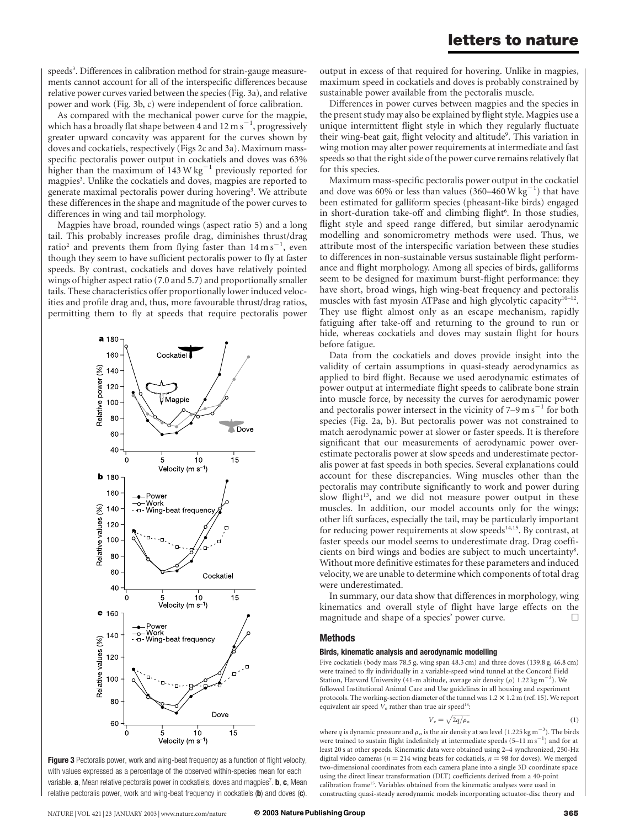speeds<sup>3</sup>. Differences in calibration method for strain-gauge measurements cannot account for all of the interspecific differences because relative power curves varied between the species (Fig. 3a), and relative power and work (Fig. 3b, c) were independent of force calibration.

As compared with the mechanical power curve for the magpie, which has a broadly flat shape between 4 and 12 m s<sup>-1</sup>, progressively greater upward concavity was apparent for the curves shown by doves and cockatiels, respectively (Figs 2c and 3a). Maximum massspecific pectoralis power output in cockatiels and doves was 63% higher than the maximum of  $143 \text{ W kg}^{-1}$  previously reported for magpies<sup>3</sup>. Unlike the cockatiels and doves, magpies are reported to generate maximal pectoralis power during hovering<sup>3</sup>. We attribute these differences in the shape and magnitude of the power curves to differences in wing and tail morphology.

Magpies have broad, rounded wings (aspect ratio 5) and a long tail. This probably increases profile drag, diminishes thrust/drag ratio<sup>2</sup> and prevents them from flying faster than  $14 \text{ m s}^{-1}$ , even though they seem to have sufficient pectoralis power to fly at faster speeds. By contrast, cockatiels and doves have relatively pointed wings of higher aspect ratio (7.0 and 5.7) and proportionally smaller tails. These characteristics offer proportionally lower induced velocities and profile drag and, thus, more favourable thrust/drag ratios, permitting them to fly at speeds that require pectoralis power



Figure 3 Pectoralis power, work and wing-beat frequency as a function of flight velocity, with values expressed as a percentage of the observed within-species mean for each variable. **a**, Mean relative pectoralis power in cockatiels, doves and magpies<sup>7</sup>. **b**, **c**, Mean relative pectoralis power, work and wing-beat frequency in cockatiels  $(b)$  and doves  $(c)$ .

output in excess of that required for hovering. Unlike in magpies, maximum speed in cockatiels and doves is probably constrained by sustainable power available from the pectoralis muscle.

Differences in power curves between magpies and the species in the present study may also be explained by flight style. Magpies use a unique intermittent flight style in which they regularly fluctuate their wing-beat gait, flight velocity and altitude<sup>9</sup>. This variation in wing motion may alter power requirements at intermediate and fast speeds so that the right side of the power curve remains relatively flat for this species.

Maximum mass-specific pectoralis power output in the cockatiel and dove was 60% or less than values  $(360-460 \,\mathrm{W}\,\mathrm{kg}^{-1})$  that have been estimated for galliform species (pheasant-like birds) engaged in short-duration take-off and climbing flight<sup>6</sup>. In those studies, flight style and speed range differed, but similar aerodynamic modelling and sonomicrometry methods were used. Thus, we attribute most of the interspecific variation between these studies to differences in non-sustainable versus sustainable flight performance and flight morphology. Among all species of birds, galliforms seem to be designed for maximum burst-flight performance: they have short, broad wings, high wing-beat frequency and pectoralis muscles with fast myosin ATPase and high glycolytic capacity<sup>10–12</sup>. They use flight almost only as an escape mechanism, rapidly fatiguing after take-off and returning to the ground to run or hide, whereas cockatiels and doves may sustain flight for hours before fatigue.

Data from the cockatiels and doves provide insight into the validity of certain assumptions in quasi-steady aerodynamics as applied to bird flight. Because we used aerodynamic estimates of power output at intermediate flight speeds to calibrate bone strain into muscle force, by necessity the curves for aerodynamic power and pectoralis power intersect in the vicinity of  $7-9 \text{ m s}^{-1}$  for both species (Fig. 2a, b). But pectoralis power was not constrained to match aerodynamic power at slower or faster speeds. It is therefore significant that our measurements of aerodynamic power overestimate pectoralis power at slow speeds and underestimate pectoralis power at fast speeds in both species. Several explanations could account for these discrepancies. Wing muscles other than the pectoralis may contribute significantly to work and power during slow flight<sup>13</sup>, and we did not measure power output in these muscles. In addition, our model accounts only for the wings; other lift surfaces, especially the tail, may be particularly important for reducing power requirements at slow speeds $14,15$ . By contrast, at faster speeds our model seems to underestimate drag. Drag coefficients on bird wings and bodies are subject to much uncertainty<sup>8</sup>. Without more definitive estimates for these parameters and induced velocity, we are unable to determine which components of total drag were underestimated.

In summary, our data show that differences in morphology, wing kinematics and overall style of flight have large effects on the magnitude and shape of a species' power curve.  $\Box$ 

## Methods

#### Birds, kinematic analysis and aerodynamic modelling

Five cockatiels (body mass 78.5 g, wing span 48.3 cm) and three doves (139.8 g, 46.8 cm) were trained to fly individually in a variable-speed wind tunnel at the Concord Field Station, Harvard University (41-m altitude, average air density ( $\rho$ ) 1.22 kg m<sup>-3</sup>). We followed Institutional Animal Care and Use guidelines in all housing and experiment protocols. The working-section diameter of the tunnel was  $1.2 \times 1.2$  m (ref. 15). We report equivalent air speed  $V_e$  rather than true air speed<sup>16</sup>:

$$
V_e = \sqrt{2q/\rho_o} \tag{1}
$$

where  $q$  is dynamic pressure and  $\rho_{\rm o}$  is the air density at sea level (1.225 kg m $^{-3}$ ). The birds were trained to sustain flight indefinitely at intermediate speeds  $(5-11 \text{ m s}^{-1})$  and for at least 20 s at other speeds. Kinematic data were obtained using 2–4 synchronized, 250-Hz digital video cameras ( $n = 214$  wing beats for cockatiels,  $n = 98$  for doves). We merged two-dimensional coordinates from each camera plane into a single 3D coordinate space using the direct linear transformation (DLT) coefficients derived from a 40-point calibration frame15. Variables obtained from the kinematic analyses were used in constructing quasi-steady aerodynamic models incorporating actuator-disc theory and